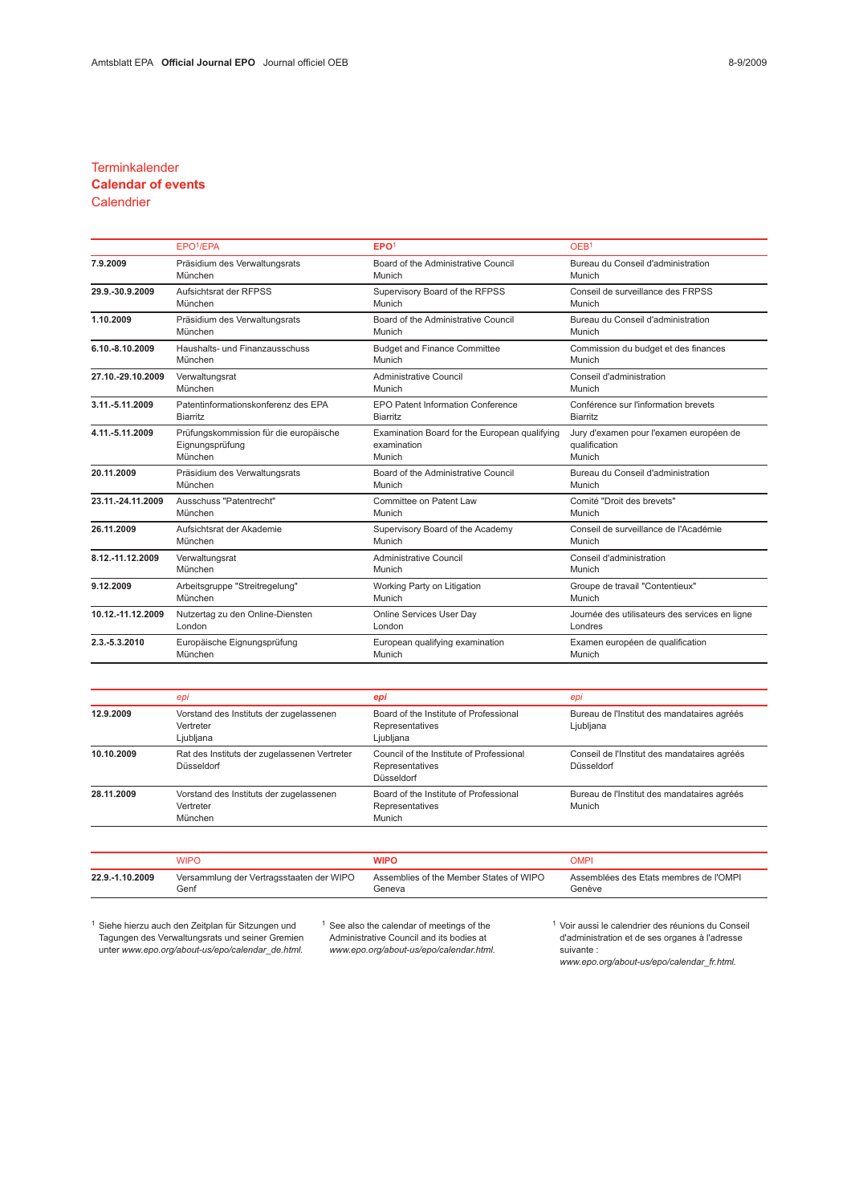### **Terminkalender**

# Calendar of events

## **Calendrier**

|                   | EPO <sup>1</sup> /EPA                  | EPO <sup>1</sup>                              | OEB <sup>1</sup>                               |
|-------------------|----------------------------------------|-----------------------------------------------|------------------------------------------------|
| 7.9.2009          | Präsidium des Verwaltungsrats          | Board of the Administrative Council           | Bureau du Conseil d'administration             |
|                   | München                                | Munich                                        | Munich                                         |
| 29.9.-30.9.2009   | Aufsichtsrat der RFPSS                 | Supervisory Board of the RFPSS                | Conseil de surveillance des FRPSS              |
|                   | München                                | Munich                                        | Munich                                         |
| 1.10.2009         | Präsidium des Verwaltungsrats          | Board of the Administrative Council           | Bureau du Conseil d'administration             |
|                   | München                                | Munich                                        | Munich                                         |
| 6.10.-8.10.2009   | Haushalts- und Finanzausschuss         | <b>Budget and Finance Committee</b>           | Commission du budget et des finances           |
|                   | München                                | Munich                                        | Munich                                         |
| 27.10.-29.10.2009 | Verwaltungsrat                         | <b>Administrative Council</b>                 | Conseil d'administration                       |
|                   | München                                | Munich                                        | Munich                                         |
| 3.11.-5.11.2009   | Patentinformationskonferenz des EPA    | EPO Patent Information Conference             | Conférence sur l'information brevets           |
|                   | <b>Biarritz</b>                        | <b>Biarritz</b>                               | <b>Biarritz</b>                                |
| 4.11.-5.11.2009   | Prüfungskommission für die europäische | Examination Board for the European qualifying | Jury d'examen pour l'examen européen de        |
|                   | Eignungsprüfung                        | examination                                   | qualification                                  |
|                   | München                                | Munich                                        | Munich                                         |
| 20.11.2009        | Präsidium des Verwaltungsrats          | Board of the Administrative Council           | Bureau du Conseil d'administration             |
|                   | München                                | Munich                                        | Munich                                         |
| 23.11.-24.11.2009 | Ausschuss "Patentrecht"                | Committee on Patent Law                       | Comité "Droit des brevets"                     |
|                   | München                                | Munich                                        | Munich                                         |
| 26.11.2009        | Aufsichtsrat der Akademie              | Supervisory Board of the Academy              | Conseil de surveillance de l'Académie          |
|                   | München                                | Munich                                        | Munich                                         |
| 8.12.-11.12.2009  | Verwaltungsrat                         | Administrative Council                        | Conseil d'administration                       |
|                   | München                                | Munich                                        | Munich                                         |
| 9.12.2009         | Arbeitsgruppe "Streitregelung"         | Working Party on Litigation                   | Groupe de travail "Contentieux"                |
|                   | München                                | Munich                                        | Munich                                         |
| 10.12.-11.12.2009 | Nutzertag zu den Online-Diensten       | Online Services User Day                      | Journée des utilisateurs des services en ligne |
|                   | London                                 | London                                        | Londres                                        |
| 2.3.-5.3.2010     | Europäische Eignungsprüfung            | European qualifying examination               | Examen européen de qualification               |
|                   | München                                | Munich                                        | Munich                                         |

|            | epi                                                               | epi                                                                       | epi                                                        |
|------------|-------------------------------------------------------------------|---------------------------------------------------------------------------|------------------------------------------------------------|
| 12.9.2009  | Vorstand des Instituts der zugelassenen<br>Vertreter<br>Ljubljana | Board of the Institute of Professional<br>Representatives<br>Ljubljana    | Bureau de l'Institut des mandataires agréés<br>Ljubljana   |
| 10.10.2009 | Rat des Instituts der zugelassenen Vertreter<br>Düsseldorf        | Council of the Institute of Professional<br>Representatives<br>Düsseldorf | Conseil de l'Institut des mandataires agréés<br>Düsseldorf |
| 28.11.2009 | Vorstand des Instituts der zugelassenen<br>Vertreter<br>München   | Board of the Institute of Professional<br>Representatives<br>Munich       | Bureau de l'Institut des mandataires agréés<br>Munich      |
|            |                                                                   |                                                                           |                                                            |

|                 | WIPC                                     | NIPO                                    | )MPI                                   |
|-----------------|------------------------------------------|-----------------------------------------|----------------------------------------|
| 22.9.-1.10.2009 | Versammlung der Vertragsstaaten der WIPO | Assemblies of the Member States of WIPO | Assemblées des Etats membres de l'OMPI |
|                 | Genf                                     | Geneva                                  | Genève                                 |

<sup>1</sup> Siehe hierzu auch den Zeitplan für Sitzungen und Tagungen des Verwaltungsrats und seiner Gremien unter www.epo.org/about-us/epo/calendar\_de.html.

<sup>1</sup> See also the calendar of meetings of the Administrative Council and its bodies at www.epo.org/about-us/epo/calendar.html. <sup>1</sup> Voir aussi le calendrier des réunions du Conseil d'administration et de ses organes à l'adresse suivante :

www.epo.org/about-us/epo/calendar\_fr.html.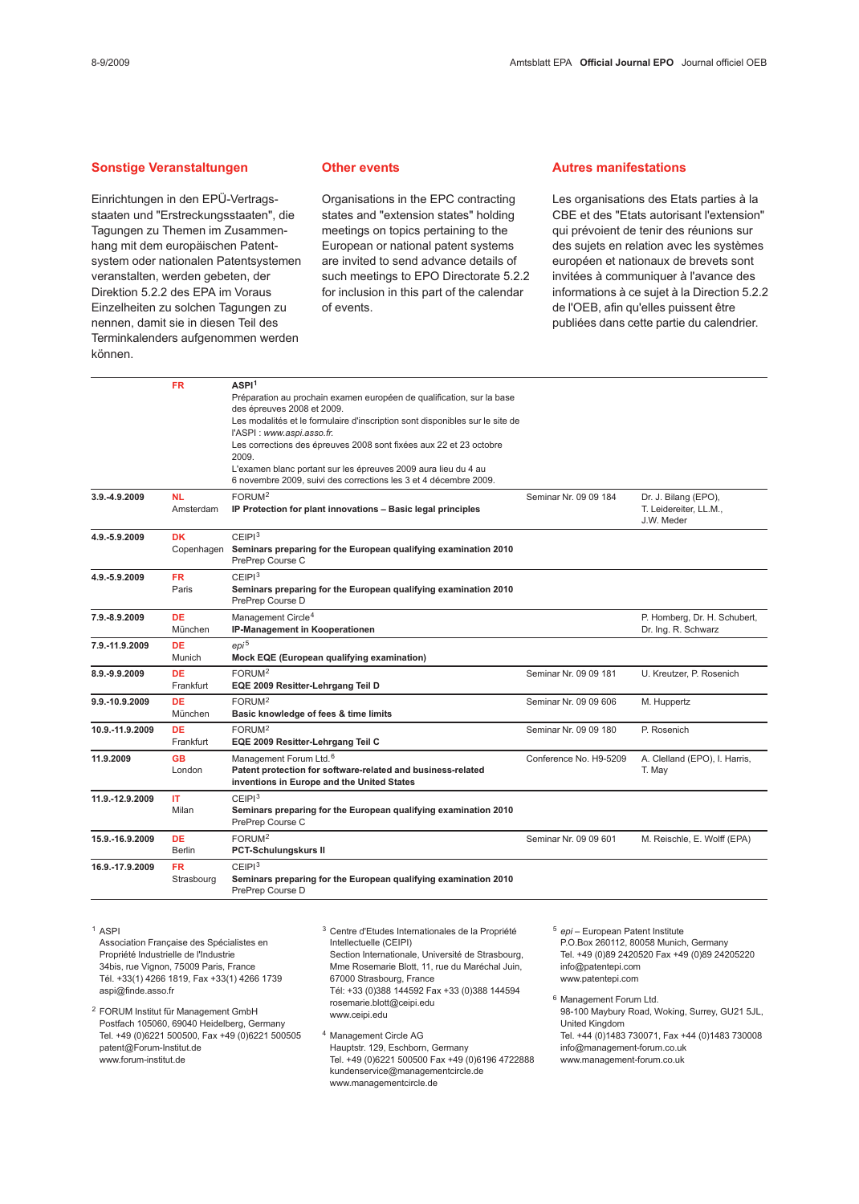#### Sonstige Veranstaltungen

Einrichtungen in den EPÜ-Vertragsstaaten und "Erstreckungsstaaten", die Tagungen zu Themen im Zusammenhang mit dem europäischen Patentsystem oder nationalen Patentsystemen veranstalten, werden gebeten, der Direktion 5.2.2 des EPA im Voraus Einzelheiten zu solchen Tagungen zu nennen, damit sie in diesen Teil des Terminkalenders aufgenommen werden können.

#### Other events

Organisations in the EPC contracting states and "extension states" holding meetings on topics pertaining to the European or national patent systems are invited to send advance details of such meetings to EPO Directorate 5.2.2 for inclusion in this part of the calendar of events.

#### Autres manifestations

Les organisations des Etats parties à la CBE et des "Etats autorisant l'extension" qui prévoient de tenir des réunions sur des sujets en relation avec les systèmes européen et nationaux de brevets sont invitées à communiquer à l'avance des informations à ce sujet à la Direction 5.2.2 de l'OEB, afin qu'elles puissent être publiées dans cette partie du calendrier.

|                 | <b>FR</b>     | ASPI <sup>1</sup>                                                                                                                  |                        |                                                     |
|-----------------|---------------|------------------------------------------------------------------------------------------------------------------------------------|------------------------|-----------------------------------------------------|
|                 |               | Préparation au prochain examen européen de qualification, sur la base                                                              |                        |                                                     |
|                 |               | des épreuves 2008 et 2009.<br>Les modalités et le formulaire d'inscription sont disponibles sur le site de                         |                        |                                                     |
|                 |               | l'ASPI : www.aspi.asso.fr.                                                                                                         |                        |                                                     |
|                 |               | Les corrections des épreuves 2008 sont fixées aux 22 et 23 octobre                                                                 |                        |                                                     |
|                 |               | 2009.                                                                                                                              |                        |                                                     |
|                 |               | L'examen blanc portant sur les épreuves 2009 aura lieu du 4 au<br>6 novembre 2009, suivi des corrections les 3 et 4 décembre 2009. |                        |                                                     |
| 3.9.-4.9.2009   | <b>NL</b>     | FORUM <sup>2</sup>                                                                                                                 | Seminar Nr. 09 09 184  | Dr. J. Bilang (EPO),                                |
|                 | Amsterdam     | IP Protection for plant innovations - Basic legal principles                                                                       |                        | T. Leidereiter, LL.M.,<br>J.W. Meder                |
| 4.9.-5.9.2009   | <b>DK</b>     | CEIP1 <sup>3</sup>                                                                                                                 |                        |                                                     |
|                 | Copenhagen    | Seminars preparing for the European qualifying examination 2010<br>PrePrep Course C                                                |                        |                                                     |
| 4.9.-5.9.2009   | <b>FR</b>     | CEIPI <sup>3</sup>                                                                                                                 |                        |                                                     |
|                 | Paris         | Seminars preparing for the European qualifying examination 2010<br>PrePrep Course D                                                |                        |                                                     |
| 7.9.-8.9.2009   | DE<br>München | Management Circle <sup>4</sup><br>IP-Management in Kooperationen                                                                   |                        | P. Homberg, Dr. H. Schubert,<br>Dr. Ing. R. Schwarz |
| 7.9.-11.9.2009  | <b>DE</b>     | $e$ pi <sup>5</sup>                                                                                                                |                        |                                                     |
|                 | Munich        | Mock EQE (European qualifying examination)                                                                                         |                        |                                                     |
| 8.9.-9.9.2009   | <b>DE</b>     | FORUM <sup>2</sup>                                                                                                                 | Seminar Nr. 09 09 181  | U. Kreutzer, P. Rosenich                            |
|                 | Frankfurt     | EQE 2009 Resitter-Lehrgang Teil D                                                                                                  |                        |                                                     |
| 9.9.-10.9.2009  | <b>DE</b>     | FORUM <sup>2</sup>                                                                                                                 | Seminar Nr. 09 09 606  | M. Huppertz                                         |
|                 | München       | Basic knowledge of fees & time limits                                                                                              |                        |                                                     |
| 10.9.-11.9.2009 | <b>DE</b>     | FORUM <sup>2</sup>                                                                                                                 | Seminar Nr. 09 09 180  | P. Rosenich                                         |
|                 | Frankfurt     | EQE 2009 Resitter-Lehrgang Teil C                                                                                                  |                        |                                                     |
| 11.9.2009       | GB            | Management Forum Ltd. <sup>6</sup>                                                                                                 | Conference No. H9-5209 | A. Clelland (EPO), I. Harris,                       |
|                 | London        | Patent protection for software-related and business-related<br>inventions in Europe and the United States                          |                        | T. May                                              |
| 11.9.-12.9.2009 | IT.           | CEIPI <sup>3</sup>                                                                                                                 |                        |                                                     |
|                 | Milan         | Seminars preparing for the European qualifying examination 2010<br>PrePrep Course C                                                |                        |                                                     |
| 15.9.-16.9.2009 | <b>DE</b>     | FORUM <sup>2</sup>                                                                                                                 | Seminar Nr. 09 09 601  | M. Reischle, E. Wolff (EPA)                         |
|                 | <b>Berlin</b> | <b>PCT-Schulungskurs II</b>                                                                                                        |                        |                                                     |
| 16.9.-17.9.2009 | <b>FR</b>     | CEIP1 <sup>3</sup>                                                                                                                 |                        |                                                     |
|                 | Strasbourg    | Seminars preparing for the European qualifying examination 2010<br>PrePrep Course D                                                |                        |                                                     |

<sup>1</sup> ASPI

Association Française des Spécialistes en Propriété Industrielle de l'Industrie 34bis, rue Vignon, 75009 Paris, France Tél. +33(1) 4266 1819, Fax +33(1) 4266 1739 aspi@finde.asso.fr

<sup>2</sup> FORUM Institut für Management GmbH Postfach 105060, 69040 Heidelberg, Germany Tel. +49 (0)6221 500500, Fax +49 (0)6221 500505 patent@Forum-Institut.de www.forum-institut.de

<sup>3</sup> Centre d'Etudes Internationales de la Propriété Intellectuelle (CEIPI) Section Internationale, Université de Strasbourg, Mme Rosemarie Blott, 11, rue du Maréchal Juin, 67000 Strasbourg, France Tél: +33 (0)388 144592 Fax +33 (0)388 144594

rosemarie.blott@ceipi.edu www.ceipi.edu <sup>4</sup> Management Circle AG

Hauptstr. 129, Eschborn, Germany Tel. +49 (0)6221 500500 Fax +49 (0)6196 4722888 kundenservice@managementcircle.de www.managementcircle.de

<sup>5</sup> epi – European Patent Institute P.O.Box 260112, 80058 Munich, Germany Tel. +49 (0)89 2420520 Fax +49 (0)89 24205220 info@patentepi.com www.patentepi.com

<sup>6</sup> Management Forum Ltd. 98-100 Maybury Road, Woking, Surrey, GU21 5JL, United Kingdom Tel. +44 (0)1483 730071, Fax +44 (0)1483 730008 info@management-forum.co.uk www.management-forum.co.uk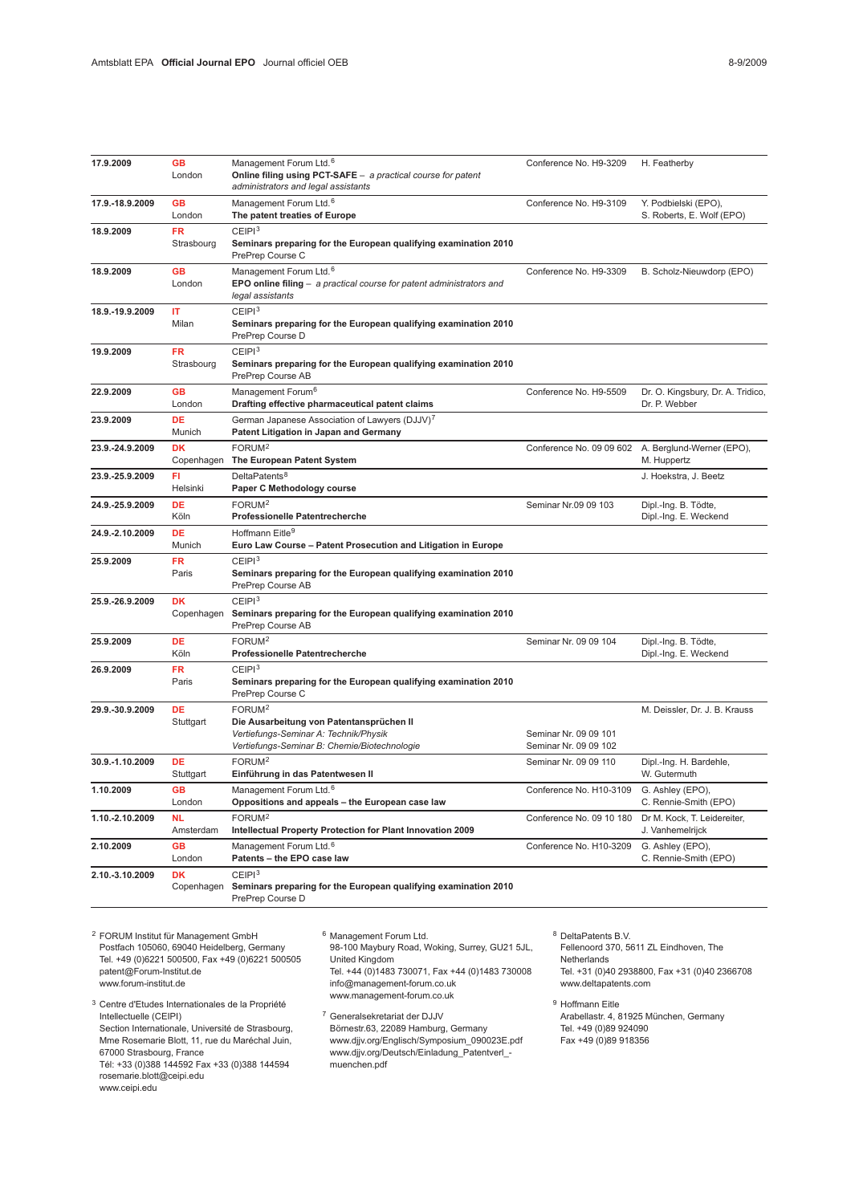| 17.9.2009       | <b>GB</b><br>London     | Management Forum Ltd. <sup>6</sup><br>Online filing using PCT-SAFE - a practical course for patent<br>administrators and legal assistants               | Conference No. H9-3209                         | H. Featherby                                       |
|-----------------|-------------------------|---------------------------------------------------------------------------------------------------------------------------------------------------------|------------------------------------------------|----------------------------------------------------|
| 17.9.-18.9.2009 | <b>GB</b><br>London     | Management Forum Ltd. <sup>6</sup><br>The patent treaties of Europe                                                                                     | Conference No. H9-3109                         | Y. Podbielski (EPO),<br>S. Roberts, E. Wolf (EPO)  |
| 18.9.2009       | <b>FR</b><br>Strasbourg | CEIP1 <sup>3</sup><br>Seminars preparing for the European qualifying examination 2010<br>PrePrep Course C                                               |                                                |                                                    |
| 18.9.2009       | <b>GB</b><br>London     | Management Forum Ltd. <sup>6</sup><br>EPO online filing $-$ a practical course for patent administrators and<br>legal assistants                        | Conference No. H9-3309                         | B. Scholz-Nieuwdorp (EPO)                          |
| 18.9.-19.9.2009 | IT<br>Milan             | CEIP1 <sup>3</sup><br>Seminars preparing for the European qualifying examination 2010<br>PrePrep Course D                                               |                                                |                                                    |
| 19.9.2009       | <b>FR</b><br>Strasbourg | CEIP1 <sup>3</sup><br>Seminars preparing for the European qualifying examination 2010<br>PrePrep Course AB                                              |                                                |                                                    |
| 22.9.2009       | <b>GB</b><br>London     | Management Forum <sup>6</sup><br>Drafting effective pharmaceutical patent claims                                                                        | Conference No. H9-5509                         | Dr. O. Kingsbury, Dr. A. Tridico,<br>Dr. P. Webber |
| 23.9.2009       | <b>DE</b><br>Munich     | German Japanese Association of Lawyers (DJJV) <sup>7</sup><br>Patent Litigation in Japan and Germany                                                    |                                                |                                                    |
| 23.9.-24.9.2009 | <b>DK</b><br>Copenhagen | FORUM <sup>2</sup><br>The European Patent System                                                                                                        | Conference No. 09 09 602                       | A. Berglund-Werner (EPO),<br>M. Huppertz           |
| 23.9.-25.9.2009 | FI<br>Helsinki          | DeltaPatents <sup>8</sup><br>Paper C Methodology course                                                                                                 |                                                | J. Hoekstra, J. Beetz                              |
| 24.9.-25.9.2009 | DE<br>Köln              | FORUM <sup>2</sup><br><b>Professionelle Patentrecherche</b>                                                                                             | Seminar Nr.09 09 103                           | Dipl.-Ing. B. Tödte,<br>Dipl.-Ing. E. Weckend      |
| 24.9.-2.10.2009 | <b>DE</b><br>Munich     | Hoffmann Eitle <sup>9</sup><br>Euro Law Course - Patent Prosecution and Litigation in Europe                                                            |                                                |                                                    |
| 25.9.2009       | FR<br>Paris             | CEIP1 <sup>3</sup><br>Seminars preparing for the European qualifying examination 2010<br>PrePrep Course AB                                              |                                                |                                                    |
| 25.9.-26.9.2009 | DK<br>Copenhagen        | CEIP1 <sup>3</sup><br>Seminars preparing for the European qualifying examination 2010<br>PrePrep Course AB                                              |                                                |                                                    |
| 25.9.2009       | DE<br>Köln              | FORUM <sup>2</sup><br><b>Professionelle Patentrecherche</b>                                                                                             | Seminar Nr. 09 09 104                          | Dipl.-Ing. B. Tödte,<br>Dipl.-Ing. E. Weckend      |
| 26.9.2009       | FR<br>Paris             | CEIPI <sup>3</sup><br>Seminars preparing for the European qualifying examination 2010<br>PrePrep Course C                                               |                                                |                                                    |
| 29.9.-30.9.2009 | <b>DE</b><br>Stuttgart  | FORUM <sup>2</sup><br>Die Ausarbeitung von Patentansprüchen II<br>Vertiefungs-Seminar A: Technik/Physik<br>Vertiefungs-Seminar B: Chemie/Biotechnologie | Seminar Nr. 09 09 101<br>Seminar Nr. 09 09 102 | M. Deissler, Dr. J. B. Krauss                      |
| 30.9.-1.10.2009 | DE<br>Stuttgart         | FORUM <sup>2</sup><br>Einführung in das Patentwesen II                                                                                                  | Seminar Nr. 09 09 110                          | Dipl.-Ing. H. Bardehle,<br>W. Gutermuth            |
| 1.10.2009       | <b>GB</b><br>London     | Management Forum Ltd. <sup>6</sup><br>Oppositions and appeals - the European case law                                                                   | Conference No. H10-3109                        | G. Ashley (EPO),<br>C. Rennie-Smith (EPO)          |
| 1.10.-2.10.2009 | <b>NL</b><br>Amsterdam  | FORUM <sup>2</sup><br>Intellectual Property Protection for Plant Innovation 2009                                                                        | Conference No. 09 10 180                       | Dr M. Kock, T. Leidereiter,<br>J. Vanhemelrijck    |
| 2.10.2009       | GB<br>London            | Management Forum Ltd. <sup>6</sup><br>Patents - the EPO case law                                                                                        | Conference No. H10-3209                        | G. Ashley (EPO),<br>C. Rennie-Smith (EPO)          |
| 2.10.-3.10.2009 | <b>DK</b><br>Copenhagen | CEIP1 <sup>3</sup><br>Seminars preparing for the European qualifying examination 2010<br>PrePrep Course D                                               |                                                |                                                    |

<sup>2</sup> FORUM Institut für Management GmbH Postfach 105060, 69040 Heidelberg, Germany Tel. +49 (0)6221 500500, Fax +49 (0)6221 500505 patent@Forum-Institut.de www.forum-institut.de

- <sup>6</sup> Management Forum Ltd. 98-100 Maybury Road, Woking, Surrey, GU21 5JL, United Kingdom Tel. +44 (0)1483 730071, Fax +44 (0)1483 730008 info@management-forum.co.uk www.management-forum.co.uk
- <sup>7</sup> Generalsekretariat der DJJV Börnestr.63, 22089 Hamburg, Germany www.djjv.org/Englisch/Symposium\_090023E.pdf www.djjv.org/Deutsch/Einladung\_Patentverl\_ muenchen.pdf
- <sup>8</sup> DeltaPatents B.V.
- Fellenoord 370, 5611 ZL Eindhoven, The Netherlands Tel. +31 (0)40 2938800, Fax +31 (0)40 2366708 www.deltapatents.com

<sup>9</sup> Hoffmann Eitle Arabellastr. 4, 81925 München, Germany Tel. +49 (0)89 924090 Fax +49 (0)89 918356

- <sup>3</sup> Centre d'Etudes Internationales de la Propriété Intellectuelle (CEIPI) Section Internationale, Université de Strasbourg, Mme Rosemarie Blott, 11, rue du Maréchal Juin, 67000 Strasbourg, France
- Tél: +33 (0)388 144592 Fax +33 (0)388 144594 rosemarie.blott@ceipi.edu
- www.ceipi.edu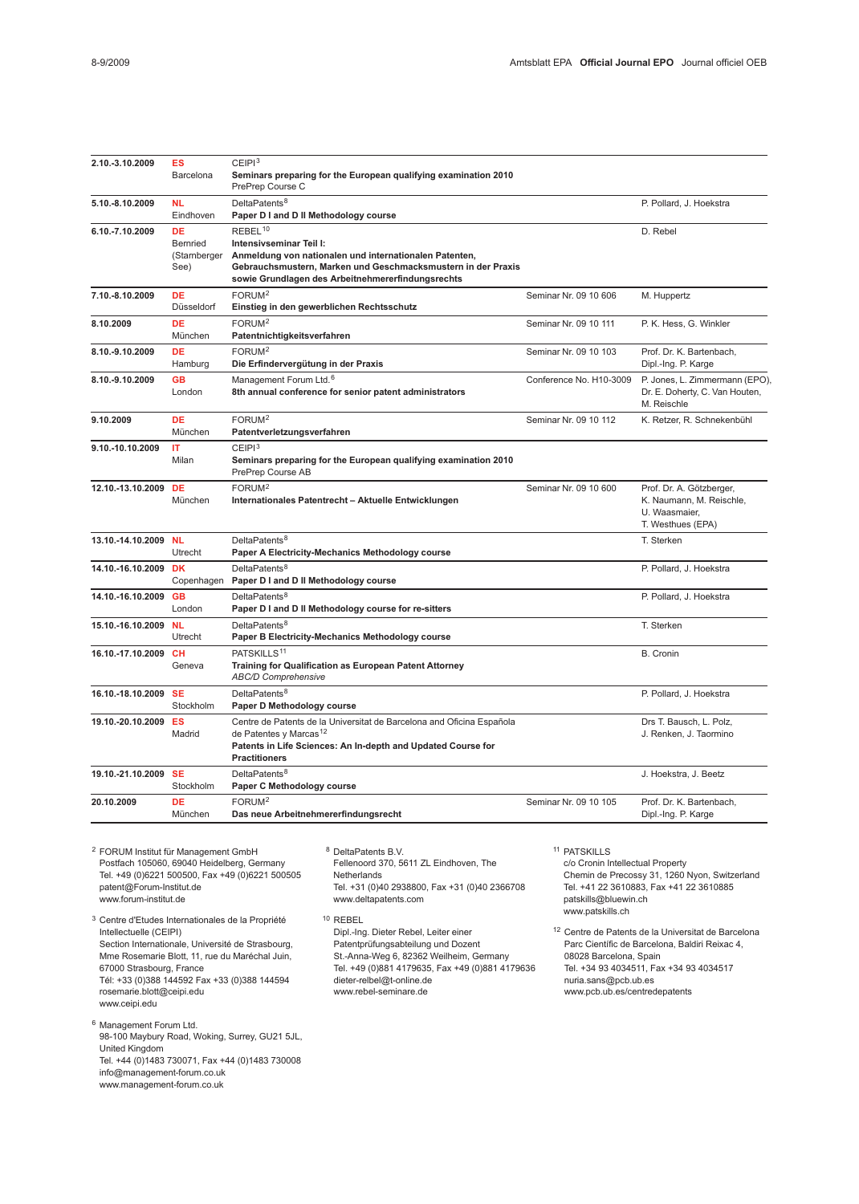| 2.10.-3.10.2009      | <b>ES</b><br>Barcelona                        | CEIP1 <sup>3</sup><br>Seminars preparing for the European qualifying examination 2010<br>PrePrep Course C                                                                                                                     |                         |                                                                                            |
|----------------------|-----------------------------------------------|-------------------------------------------------------------------------------------------------------------------------------------------------------------------------------------------------------------------------------|-------------------------|--------------------------------------------------------------------------------------------|
| 5.10.-8.10.2009      | <b>NL</b><br>Eindhoven                        | DeltaPatents <sup>8</sup><br>Paper D I and D II Methodology course                                                                                                                                                            |                         | P. Pollard, J. Hoekstra                                                                    |
| 6.10.-7.10.2009      | DE<br><b>Bernried</b><br>(Starnberger<br>See) | REBEL <sup>10</sup><br>Intensivseminar Teil I:<br>Anmeldung von nationalen und internationalen Patenten,<br>Gebrauchsmustern, Marken und Geschmacksmustern in der Praxis<br>sowie Grundlagen des Arbeitnehmererfindungsrechts |                         | D. Rebel                                                                                   |
| 7.10.-8.10.2009      | DE<br>Düsseldorf                              | FORUM <sup>2</sup><br>Einstieg in den gewerblichen Rechtsschutz                                                                                                                                                               | Seminar Nr. 09 10 606   | M. Huppertz                                                                                |
| 8.10.2009            | DE<br>München                                 | FORUM <sup>2</sup><br>Patentnichtigkeitsverfahren                                                                                                                                                                             | Seminar Nr. 09 10 111   | P. K. Hess, G. Winkler                                                                     |
| 8.10.-9.10.2009      | DE<br>Hamburg                                 | FORUM <sup>2</sup><br>Die Erfindervergütung in der Praxis                                                                                                                                                                     | Seminar Nr. 09 10 103   | Prof. Dr. K. Bartenbach,<br>Dipl.-Ing. P. Karge                                            |
| 8.10.-9.10.2009      | <b>GB</b><br>London                           | Management Forum Ltd. <sup>6</sup><br>8th annual conference for senior patent administrators                                                                                                                                  | Conference No. H10-3009 | P. Jones, L. Zimmermann (EPO)<br>Dr. E. Doherty, C. Van Houten,<br>M. Reischle             |
| 9.10.2009            | DE<br>München                                 | FORUM <sup>2</sup><br>Patentverletzungsverfahren                                                                                                                                                                              | Seminar Nr. 09 10 112   | K. Retzer, R. Schnekenbühl                                                                 |
| 9.10.-10.10.2009     | IT<br>Milan                                   | CEIP1 <sup>3</sup><br>Seminars preparing for the European qualifying examination 2010<br>PrePrep Course AB                                                                                                                    |                         |                                                                                            |
| 12.10.-13.10.2009    | DE<br>München                                 | FORUM <sup>2</sup><br>Internationales Patentrecht - Aktuelle Entwicklungen                                                                                                                                                    | Seminar Nr. 09 10 600   | Prof. Dr. A. Götzberger,<br>K. Naumann, M. Reischle,<br>U. Waasmaier.<br>T. Westhues (EPA) |
| 13.10.-14.10.2009 NL | Utrecht                                       | DeltaPatents <sup>8</sup><br>Paper A Electricity-Mechanics Methodology course                                                                                                                                                 |                         | T. Sterken                                                                                 |
| 14.10.-16.10.2009    | <b>DK</b><br>Copenhagen                       | DeltaPatents <sup>8</sup><br>Paper D I and D II Methodology course                                                                                                                                                            |                         | P. Pollard, J. Hoekstra                                                                    |
| 14.10.-16.10.2009    | <b>GB</b><br>London                           | DeltaPatents <sup>8</sup><br>Paper D I and D II Methodology course for re-sitters                                                                                                                                             |                         | P. Pollard, J. Hoekstra                                                                    |
| 15.10.-16.10.2009    | <b>NL</b><br>Utrecht                          | DeltaPatents <sup>8</sup><br>Paper B Electricity-Mechanics Methodology course                                                                                                                                                 |                         | T. Sterken                                                                                 |
| 16.10.-17.10.2009    | CH<br>Geneva                                  | PATSKILLS <sup>11</sup><br>Training for Qualification as European Patent Attorney<br><b>ABC/D Comprehensive</b>                                                                                                               |                         | B. Cronin                                                                                  |
| 16.10.-18.10.2009    | <b>SE</b><br>Stockholm                        | DeltaPatents <sup>8</sup><br>Paper D Methodology course                                                                                                                                                                       |                         | P. Pollard, J. Hoekstra                                                                    |
| 19.10.-20.10.2009    | ES<br>Madrid                                  | Centre de Patents de la Universitat de Barcelona and Oficina Española<br>de Patentes y Marcas <sup>12</sup><br>Patents in Life Sciences: An In-depth and Updated Course for<br><b>Practitioners</b>                           |                         | Drs T. Bausch, L. Polz,<br>J. Renken, J. Taormino                                          |
| 19.10.-21.10.2009    | <b>SE</b><br>Stockholm                        | DeltaPatents <sup>8</sup><br>Paper C Methodology course                                                                                                                                                                       |                         | J. Hoekstra, J. Beetz                                                                      |
| 20.10.2009           | DE<br>München                                 | FORUM <sup>2</sup><br>Das neue Arbeitnehmererfindungsrecht                                                                                                                                                                    | Seminar Nr. 09 10 105   | Prof. Dr. K. Bartenbach,<br>Dipl.-Ing. P. Karge                                            |

<sup>2</sup> FORUM Institut für Management GmbH Portom manutius management concerning<br>Postfach 105060, 69040 Heidelberg, Germany Tel. +49 (0)6221 500500, Fax +49 (0)6221 500505 patent@Forum-Institut.de www.forum-institut.de <sup>3</sup> Centre d'Etudes Internationales de la Propriété Intellectuelle (CEIPI) Section Internationale, Université de Strasbourg, Mme Rosemarie Blott, 11, rue du Maréchal Juin, 67000 Strasbourg, France Tél: +33 (0)388 144592 Fax +33 (0)388 144594 rosemarie.blott@ceipi.edu www.ceipi.edu <sup>6</sup> Management Forum Ltd. <sup>8</sup> DeltaPatents B.V. Fellenoord 370, 5611 ZL Eindhoven, The Netherlands Tel. +31 (0)40 2938800, Fax +31 (0)40 2366708 www.deltapatents.com <sup>10</sup> REBEL Dipl.-Ing. Dieter Rebel, Leiter einer Patentprüfungsabteilung und Dozent St.-Anna-Weg 6, 82362 Weilheim, Germany Tel. +49 (0)881 4179635, Fax +49 (0)881 4179636 dieter-relbel@t-online.de www.rebel-seminare.de

98-100 Maybury Road, Woking, Surrey, GU21 5JL,

Tel. +44 (0)1483 730071, Fax +44 (0)1483 730008

United Kingdom

info@management-forum.co.uk www.management-forum.co.uk

<sup>11</sup> PATSKILLS

c/o Cronin Intellectual Property Chemin de Precossy 31, 1260 Nyon, Switzerland Tel. +41 22 3610883, Fax +41 22 3610885 patskills@bluewin.ch www.patskills.ch

<sup>12</sup> Centre de Patents de la Universitat de Barcelona Parc Científic de Barcelona, Baldiri Reixac 4, 08028 Barcelona, Spain Tel. +34 93 4034511, Fax +34 93 4034517 nuria.sans@pcb.ub.es www.pcb.ub.es/centredepatents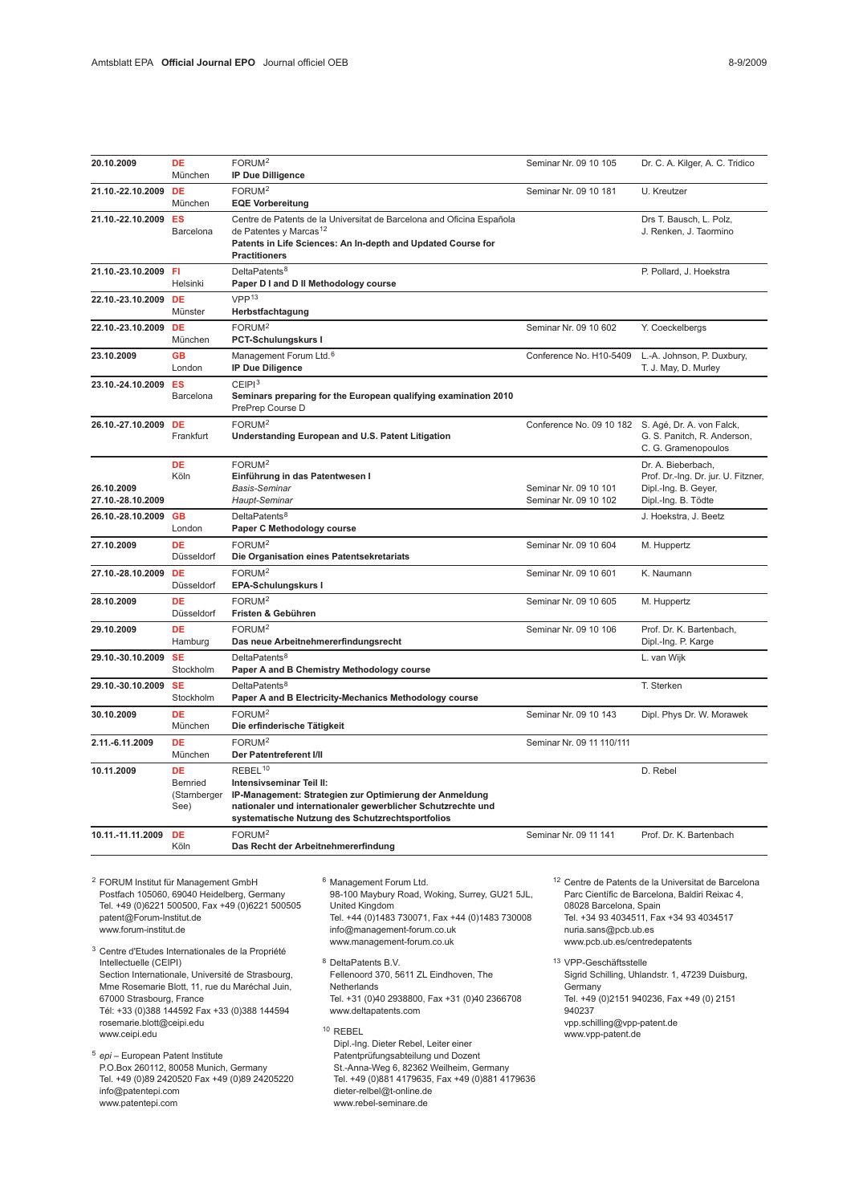| 20.10.2009                                                                                                                                         | <b>DE</b><br>München                          | FORUM <sup>2</sup><br><b>IP Due Dilligence</b>                                                 |                                                                                                                                                                                                                        | Seminar Nr. 09 10 105                                                           | Dr. C. A. Kilger, A. C. Tridico                                                                                                                             |
|----------------------------------------------------------------------------------------------------------------------------------------------------|-----------------------------------------------|------------------------------------------------------------------------------------------------|------------------------------------------------------------------------------------------------------------------------------------------------------------------------------------------------------------------------|---------------------------------------------------------------------------------|-------------------------------------------------------------------------------------------------------------------------------------------------------------|
| 21.10.-22.10.2009                                                                                                                                  | <b>DE</b><br>München                          | FORUM <sup>2</sup><br><b>EQE Vorbereitung</b>                                                  |                                                                                                                                                                                                                        | Seminar Nr. 09 10 181                                                           | U. Kreutzer                                                                                                                                                 |
| 21.10.-22.10.2009                                                                                                                                  | ES<br>Barcelona                               | de Patentes y Marcas <sup>12</sup><br><b>Practitioners</b>                                     | Centre de Patents de la Universitat de Barcelona and Oficina Española<br>Patents in Life Sciences: An In-depth and Updated Course for                                                                                  |                                                                                 | Drs T. Bausch, L. Polz,<br>J. Renken, J. Taormino                                                                                                           |
| 21.10.-23.10.2009 FI                                                                                                                               | Helsinki                                      | DeltaPatents <sup>8</sup><br>Paper D I and D II Methodology course                             |                                                                                                                                                                                                                        |                                                                                 | P. Pollard, J. Hoekstra                                                                                                                                     |
| 22.10.-23.10.2009                                                                                                                                  | DE<br>Münster                                 | VPP <sup>13</sup><br>Herbstfachtagung                                                          |                                                                                                                                                                                                                        |                                                                                 |                                                                                                                                                             |
| 22.10.-23.10.2009 DE                                                                                                                               | München                                       | FORUM <sup>2</sup><br>PCT-Schulungskurs I                                                      |                                                                                                                                                                                                                        | Seminar Nr. 09 10 602                                                           | Y. Coeckelbergs                                                                                                                                             |
| 23.10.2009                                                                                                                                         | <b>GB</b><br>London                           | Management Forum Ltd. <sup>6</sup><br><b>IP Due Diligence</b>                                  |                                                                                                                                                                                                                        | Conference No. H10-5409                                                         | L.-A. Johnson, P. Duxbury,<br>T. J. May, D. Murley                                                                                                          |
| 23.10.-24.10.2009                                                                                                                                  | ES<br>Barcelona                               | CEIP1 <sup>3</sup><br>PrePrep Course D                                                         | Seminars preparing for the European qualifying examination 2010                                                                                                                                                        |                                                                                 |                                                                                                                                                             |
| 26.10.-27.10.2009 DE                                                                                                                               | Frankfurt                                     | FORUM <sup>2</sup>                                                                             | Understanding European and U.S. Patent Litigation                                                                                                                                                                      | Conference No. 09 10 182 S. Agé, Dr. A. von Falck,                              | G. S. Panitch, R. Anderson,<br>C. G. Gramenopoulos                                                                                                          |
| 26.10.2009<br>27.10.-28.10.2009                                                                                                                    | DE<br>Köln                                    | FORUM <sup>2</sup><br>Einführung in das Patentwesen I<br><b>Basis-Seminar</b><br>Haupt-Seminar |                                                                                                                                                                                                                        | Seminar Nr. 09 10 101<br>Seminar Nr. 09 10 102                                  | Dr. A. Bieberbach,<br>Prof. Dr.-Ing. Dr. jur. U. Fitzner,<br>Dipl.-Ing. B. Geyer,<br>Dipl.-Ing. B. Tödte                                                    |
| 26.10.-28.10.2009                                                                                                                                  | <b>GB</b><br>London                           | DeltaPatents <sup>8</sup><br>Paper C Methodology course                                        |                                                                                                                                                                                                                        |                                                                                 | J. Hoekstra, J. Beetz                                                                                                                                       |
| 27.10.2009                                                                                                                                         | <b>DE</b><br>Düsseldorf                       | FORUM <sup>2</sup><br>Die Organisation eines Patentsekretariats                                |                                                                                                                                                                                                                        | Seminar Nr. 09 10 604                                                           | M. Huppertz                                                                                                                                                 |
| 27.10.-28.10.2009                                                                                                                                  | <b>DE</b><br>Düsseldorf                       | FORUM <sup>2</sup><br>EPA-Schulungskurs I                                                      |                                                                                                                                                                                                                        | Seminar Nr. 09 10 601                                                           | K. Naumann                                                                                                                                                  |
| 28.10.2009                                                                                                                                         | DE<br>Düsseldorf                              | FORUM <sup>2</sup><br>Fristen & Gebühren                                                       |                                                                                                                                                                                                                        | Seminar Nr. 09 10 605                                                           | M. Huppertz                                                                                                                                                 |
| 29.10.2009                                                                                                                                         | <b>DE</b><br>Hamburg                          | FORUM <sup>2</sup><br>Das neue Arbeitnehmererfindungsrecht                                     |                                                                                                                                                                                                                        | Seminar Nr. 09 10 106                                                           | Prof. Dr. K. Bartenbach,<br>Dipl.-Ing. P. Karge                                                                                                             |
| 29.10.-30.10.2009                                                                                                                                  | <b>SE</b><br>Stockholm                        | DeltaPatents <sup>8</sup>                                                                      | Paper A and B Chemistry Methodology course                                                                                                                                                                             |                                                                                 | L. van Wijk                                                                                                                                                 |
| 29.10.-30.10.2009                                                                                                                                  | <b>SE</b><br>Stockholm                        | DeltaPatents <sup>8</sup>                                                                      | Paper A and B Electricity-Mechanics Methodology course                                                                                                                                                                 |                                                                                 | T. Sterken                                                                                                                                                  |
| 30.10.2009                                                                                                                                         | DE<br>München                                 | FORUM <sup>2</sup><br>Die erfinderische Tätigkeit                                              |                                                                                                                                                                                                                        | Seminar Nr. 09 10 143                                                           | Dipl. Phys Dr. W. Morawek                                                                                                                                   |
| 2.11.-6.11.2009                                                                                                                                    | <b>DE</b><br>München                          | FORUM <sup>2</sup><br>Seminar Nr. 09 11 110/111<br>Der Patentreferent I/II                     |                                                                                                                                                                                                                        |                                                                                 |                                                                                                                                                             |
| 10.11.2009                                                                                                                                         | <b>DE</b><br>Bernried<br>(Starnberger<br>See) | REBEL <sup>10</sup><br>Intensivseminar Teil II:                                                | IP-Management: Strategien zur Optimierung der Anmeldung<br>nationaler und internationaler gewerblicher Schutzrechte und<br>systematische Nutzung des Schutzrechtsportfolios                                            |                                                                                 | D. Rebel                                                                                                                                                    |
| 10.11.-11.11.2009                                                                                                                                  | <b>DE</b><br>Köln                             | FORUM <sup>2</sup><br>Das Recht der Arbeitnehmererfindung                                      |                                                                                                                                                                                                                        | Seminar Nr. 09 11 141                                                           | Prof. Dr. K. Bartenbach                                                                                                                                     |
| <sup>2</sup> FORUM Institut für Management GmbH<br>Postfach 105060, 69040 Heidelberg, Germany<br>patent@Forum-Institut.de<br>www.forum-institut.de |                                               | Tel. +49 (0)6221 500500, Fax +49 (0)6221 500505                                                | <sup>6</sup> Management Forum Ltd.<br>98-100 Maybury Road, Woking, Surrey, GU21 5JL,<br>United Kingdom<br>Tel. +44 (0)1483 730071, Fax +44 (0)1483 730008<br>info@management-forum.co.uk<br>www.management-forum.co.uk | 08028 Barcelona, Spain<br>nuria.sans@pcb.ub.es<br>www.pcb.ub.es/centredepatents | <sup>12</sup> Centre de Patents de la Universitat de Barcelona<br>Parc Científic de Barcelona, Baldiri Reixac 4,<br>Tel. +34 93 4034511, Fax +34 93 4034517 |

<sup>3</sup> Centre d'Etudes Internationales de la Propriété Intellectuelle (CEIPI) Section Internationale, Université de Strasbourg, Mme Rosemarie Blott, 11, rue du Maréchal Juin, 67000 Strasbourg, France Tél: +33 (0)388 144592 Fax +33 (0)388 144594 rosemarie.blott@ceipi.edu www.ceipi.edu

<sup>5</sup> epi – European Patent Institute P.O.Box 260112, 80058 Munich, Germany Tel. +49 (0)89 2420520 Fax +49 (0)89 24205220 info@patentepi.com www.patentepi.com

www.management-forum.co.uk <sup>8</sup> DeltaPatents B.V. Fellenoord 370, 5611 ZL Eindhoven, The Netherlands Tel. +31 (0)40 2938800, Fax +31 (0)40 2366708

www.deltapatents.com

<sup>10</sup> REBEL Dipl.-Ing. Dieter Rebel, Leiter einer Patentprüfungsabteilung und Dozent St.-Anna-Weg 6, 82362 Weilheim, Germany Tel. +49 (0)881 4179635, Fax +49 (0)881 4179636 dieter-relbel@t-online.de www.rebel-seminare.de

www.pcb.ub.es/centredepatents <sup>13</sup> VPP-Geschäftsstelle Sigrid Schilling, Uhlandstr. 1, 47239 Duisburg, **Germany** Tel. +49 (0)2151 940236, Fax +49 (0) 2151 940237 vpp.schilling@vpp-patent.de

www.vpp-patent.de